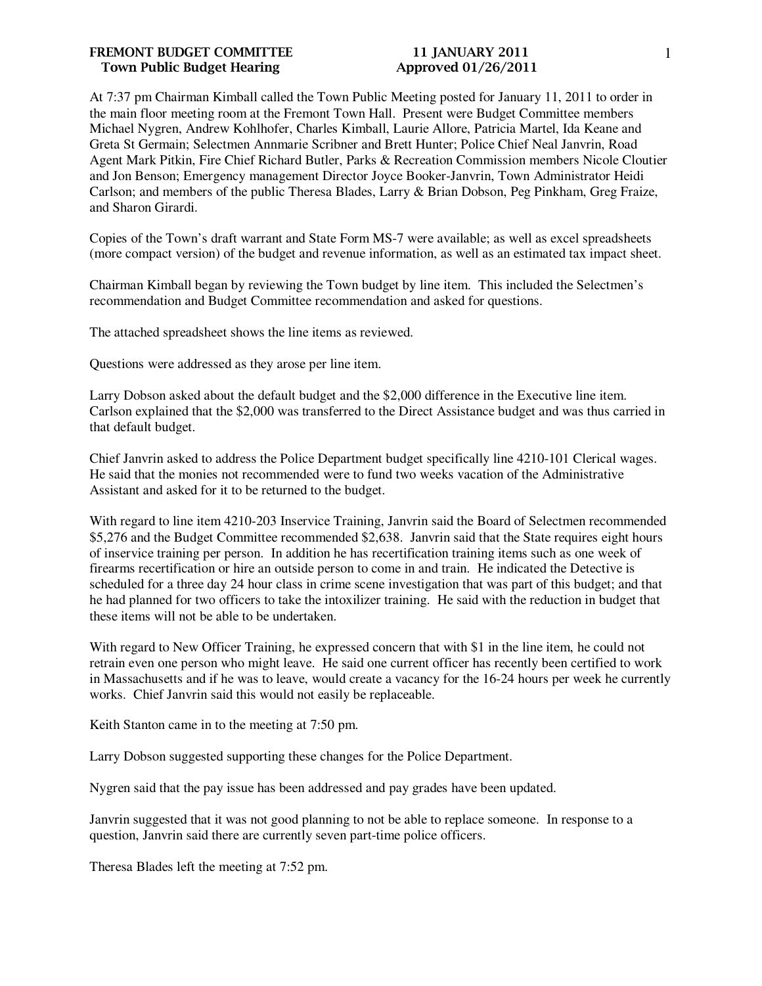At 7:37 pm Chairman Kimball called the Town Public Meeting posted for January 11, 2011 to order in the main floor meeting room at the Fremont Town Hall. Present were Budget Committee members Michael Nygren, Andrew Kohlhofer, Charles Kimball, Laurie Allore, Patricia Martel, Ida Keane and Greta St Germain; Selectmen Annmarie Scribner and Brett Hunter; Police Chief Neal Janvrin, Road Agent Mark Pitkin, Fire Chief Richard Butler, Parks & Recreation Commission members Nicole Cloutier and Jon Benson; Emergency management Director Joyce Booker-Janvrin, Town Administrator Heidi Carlson; and members of the public Theresa Blades, Larry & Brian Dobson, Peg Pinkham, Greg Fraize, and Sharon Girardi.

Copies of the Town's draft warrant and State Form MS-7 were available; as well as excel spreadsheets (more compact version) of the budget and revenue information, as well as an estimated tax impact sheet.

Chairman Kimball began by reviewing the Town budget by line item. This included the Selectmen's recommendation and Budget Committee recommendation and asked for questions.

The attached spreadsheet shows the line items as reviewed.

Questions were addressed as they arose per line item.

Larry Dobson asked about the default budget and the \$2,000 difference in the Executive line item. Carlson explained that the \$2,000 was transferred to the Direct Assistance budget and was thus carried in that default budget.

Chief Janvrin asked to address the Police Department budget specifically line 4210-101 Clerical wages. He said that the monies not recommended were to fund two weeks vacation of the Administrative Assistant and asked for it to be returned to the budget.

With regard to line item 4210-203 Inservice Training, Janvrin said the Board of Selectmen recommended \$5,276 and the Budget Committee recommended \$2,638. Janvrin said that the State requires eight hours of inservice training per person. In addition he has recertification training items such as one week of firearms recertification or hire an outside person to come in and train. He indicated the Detective is scheduled for a three day 24 hour class in crime scene investigation that was part of this budget; and that he had planned for two officers to take the intoxilizer training. He said with the reduction in budget that these items will not be able to be undertaken.

With regard to New Officer Training, he expressed concern that with \$1 in the line item, he could not retrain even one person who might leave. He said one current officer has recently been certified to work in Massachusetts and if he was to leave, would create a vacancy for the 16-24 hours per week he currently works. Chief Janvrin said this would not easily be replaceable.

Keith Stanton came in to the meeting at 7:50 pm.

Larry Dobson suggested supporting these changes for the Police Department.

Nygren said that the pay issue has been addressed and pay grades have been updated.

Janvrin suggested that it was not good planning to not be able to replace someone. In response to a question, Janvrin said there are currently seven part-time police officers.

Theresa Blades left the meeting at 7:52 pm.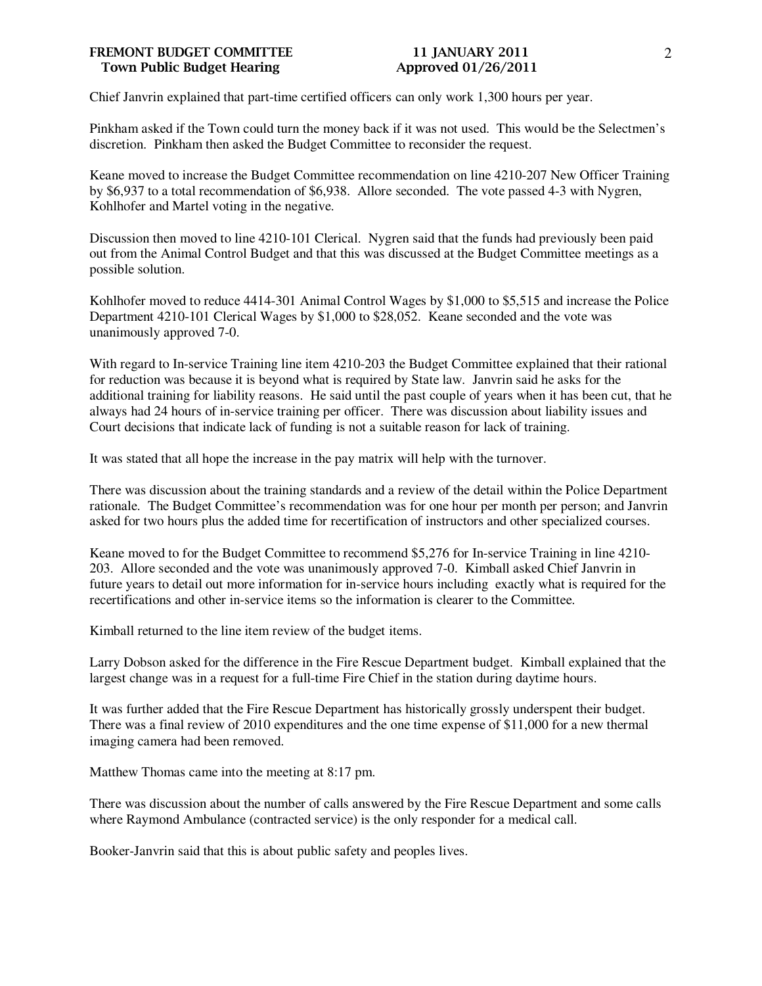Chief Janvrin explained that part-time certified officers can only work 1,300 hours per year.

Pinkham asked if the Town could turn the money back if it was not used. This would be the Selectmen's discretion. Pinkham then asked the Budget Committee to reconsider the request.

Keane moved to increase the Budget Committee recommendation on line 4210-207 New Officer Training by \$6,937 to a total recommendation of \$6,938. Allore seconded. The vote passed 4-3 with Nygren, Kohlhofer and Martel voting in the negative.

Discussion then moved to line 4210-101 Clerical. Nygren said that the funds had previously been paid out from the Animal Control Budget and that this was discussed at the Budget Committee meetings as a possible solution.

Kohlhofer moved to reduce 4414-301 Animal Control Wages by \$1,000 to \$5,515 and increase the Police Department 4210-101 Clerical Wages by \$1,000 to \$28,052. Keane seconded and the vote was unanimously approved 7-0.

With regard to In-service Training line item 4210-203 the Budget Committee explained that their rational for reduction was because it is beyond what is required by State law. Janvrin said he asks for the additional training for liability reasons. He said until the past couple of years when it has been cut, that he always had 24 hours of in-service training per officer. There was discussion about liability issues and Court decisions that indicate lack of funding is not a suitable reason for lack of training.

It was stated that all hope the increase in the pay matrix will help with the turnover.

There was discussion about the training standards and a review of the detail within the Police Department rationale. The Budget Committee's recommendation was for one hour per month per person; and Janvrin asked for two hours plus the added time for recertification of instructors and other specialized courses.

Keane moved to for the Budget Committee to recommend \$5,276 for In-service Training in line 4210- 203. Allore seconded and the vote was unanimously approved 7-0. Kimball asked Chief Janvrin in future years to detail out more information for in-service hours including exactly what is required for the recertifications and other in-service items so the information is clearer to the Committee.

Kimball returned to the line item review of the budget items.

Larry Dobson asked for the difference in the Fire Rescue Department budget. Kimball explained that the largest change was in a request for a full-time Fire Chief in the station during daytime hours.

It was further added that the Fire Rescue Department has historically grossly underspent their budget. There was a final review of 2010 expenditures and the one time expense of \$11,000 for a new thermal imaging camera had been removed.

Matthew Thomas came into the meeting at 8:17 pm.

There was discussion about the number of calls answered by the Fire Rescue Department and some calls where Raymond Ambulance (contracted service) is the only responder for a medical call.

Booker-Janvrin said that this is about public safety and peoples lives.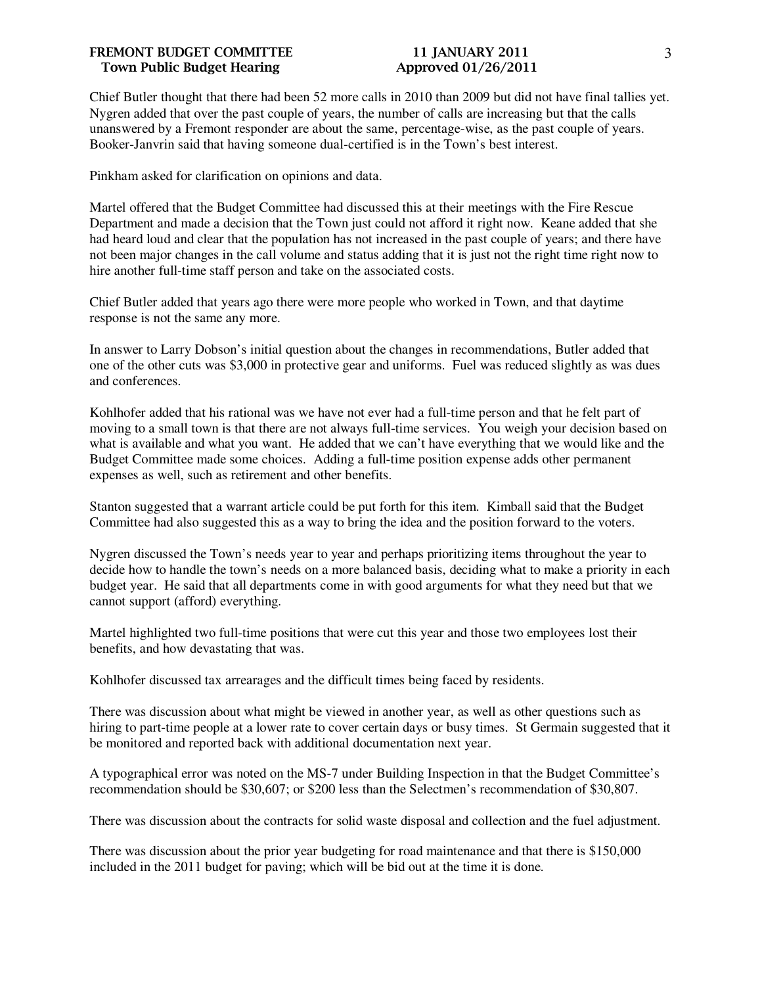Chief Butler thought that there had been 52 more calls in 2010 than 2009 but did not have final tallies yet. Nygren added that over the past couple of years, the number of calls are increasing but that the calls unanswered by a Fremont responder are about the same, percentage-wise, as the past couple of years. Booker-Janvrin said that having someone dual-certified is in the Town's best interest.

Pinkham asked for clarification on opinions and data.

Martel offered that the Budget Committee had discussed this at their meetings with the Fire Rescue Department and made a decision that the Town just could not afford it right now. Keane added that she had heard loud and clear that the population has not increased in the past couple of years; and there have not been major changes in the call volume and status adding that it is just not the right time right now to hire another full-time staff person and take on the associated costs.

Chief Butler added that years ago there were more people who worked in Town, and that daytime response is not the same any more.

In answer to Larry Dobson's initial question about the changes in recommendations, Butler added that one of the other cuts was \$3,000 in protective gear and uniforms. Fuel was reduced slightly as was dues and conferences.

Kohlhofer added that his rational was we have not ever had a full-time person and that he felt part of moving to a small town is that there are not always full-time services. You weigh your decision based on what is available and what you want. He added that we can't have everything that we would like and the Budget Committee made some choices. Adding a full-time position expense adds other permanent expenses as well, such as retirement and other benefits.

Stanton suggested that a warrant article could be put forth for this item. Kimball said that the Budget Committee had also suggested this as a way to bring the idea and the position forward to the voters.

Nygren discussed the Town's needs year to year and perhaps prioritizing items throughout the year to decide how to handle the town's needs on a more balanced basis, deciding what to make a priority in each budget year. He said that all departments come in with good arguments for what they need but that we cannot support (afford) everything.

Martel highlighted two full-time positions that were cut this year and those two employees lost their benefits, and how devastating that was.

Kohlhofer discussed tax arrearages and the difficult times being faced by residents.

There was discussion about what might be viewed in another year, as well as other questions such as hiring to part-time people at a lower rate to cover certain days or busy times. St Germain suggested that it be monitored and reported back with additional documentation next year.

A typographical error was noted on the MS-7 under Building Inspection in that the Budget Committee's recommendation should be \$30,607; or \$200 less than the Selectmen's recommendation of \$30,807.

There was discussion about the contracts for solid waste disposal and collection and the fuel adjustment.

There was discussion about the prior year budgeting for road maintenance and that there is \$150,000 included in the 2011 budget for paving; which will be bid out at the time it is done.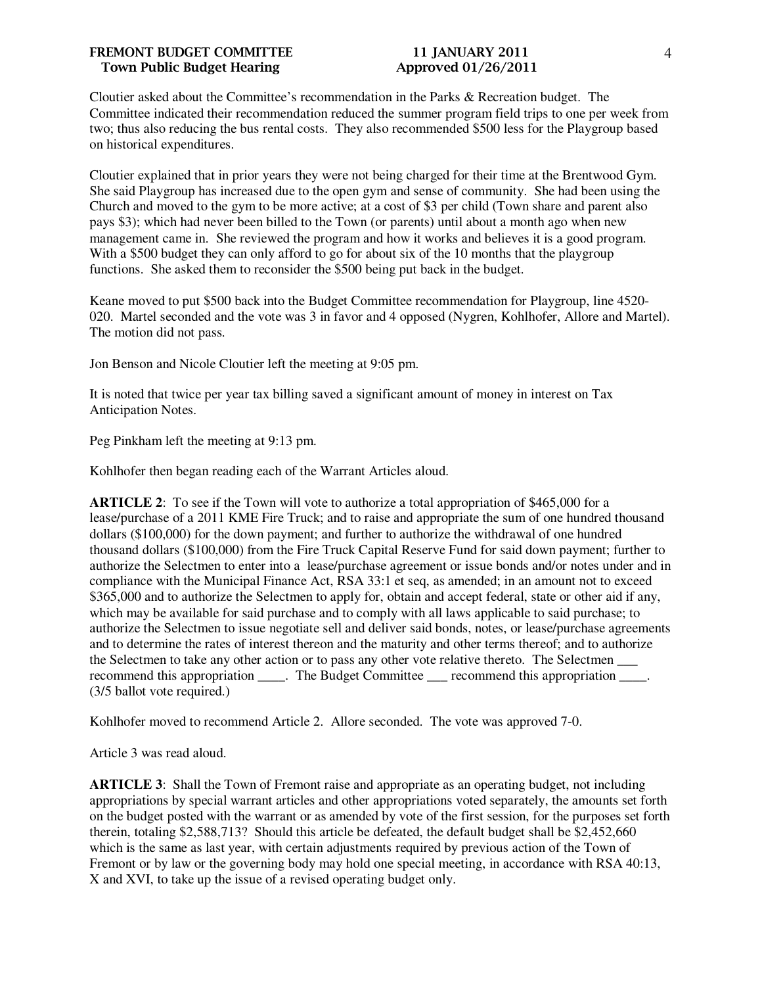Cloutier asked about the Committee's recommendation in the Parks & Recreation budget. The Committee indicated their recommendation reduced the summer program field trips to one per week from two; thus also reducing the bus rental costs. They also recommended \$500 less for the Playgroup based on historical expenditures.

Cloutier explained that in prior years they were not being charged for their time at the Brentwood Gym. She said Playgroup has increased due to the open gym and sense of community. She had been using the Church and moved to the gym to be more active; at a cost of \$3 per child (Town share and parent also pays \$3); which had never been billed to the Town (or parents) until about a month ago when new management came in. She reviewed the program and how it works and believes it is a good program. With a \$500 budget they can only afford to go for about six of the 10 months that the playgroup functions. She asked them to reconsider the \$500 being put back in the budget.

Keane moved to put \$500 back into the Budget Committee recommendation for Playgroup, line 4520- 020. Martel seconded and the vote was 3 in favor and 4 opposed (Nygren, Kohlhofer, Allore and Martel). The motion did not pass.

Jon Benson and Nicole Cloutier left the meeting at 9:05 pm.

It is noted that twice per year tax billing saved a significant amount of money in interest on Tax Anticipation Notes.

Peg Pinkham left the meeting at 9:13 pm.

Kohlhofer then began reading each of the Warrant Articles aloud.

**ARTICLE 2**: To see if the Town will vote to authorize a total appropriation of \$465,000 for a lease/purchase of a 2011 KME Fire Truck; and to raise and appropriate the sum of one hundred thousand dollars (\$100,000) for the down payment; and further to authorize the withdrawal of one hundred thousand dollars (\$100,000) from the Fire Truck Capital Reserve Fund for said down payment; further to authorize the Selectmen to enter into a lease/purchase agreement or issue bonds and/or notes under and in compliance with the Municipal Finance Act, RSA 33:1 et seq, as amended; in an amount not to exceed \$365,000 and to authorize the Selectmen to apply for, obtain and accept federal, state or other aid if any, which may be available for said purchase and to comply with all laws applicable to said purchase; to authorize the Selectmen to issue negotiate sell and deliver said bonds, notes, or lease/purchase agreements and to determine the rates of interest thereon and the maturity and other terms thereof; and to authorize the Selectmen to take any other action or to pass any other vote relative thereto. The Selectmen \_\_\_ recommend this appropriation \_\_\_\_\_. The Budget Committee \_\_\_ recommend this appropriation \_\_\_\_. (3/5 ballot vote required.)

Kohlhofer moved to recommend Article 2. Allore seconded. The vote was approved 7-0.

Article 3 was read aloud.

**ARTICLE 3**: Shall the Town of Fremont raise and appropriate as an operating budget, not including appropriations by special warrant articles and other appropriations voted separately, the amounts set forth on the budget posted with the warrant or as amended by vote of the first session, for the purposes set forth therein, totaling \$2,588,713? Should this article be defeated, the default budget shall be \$2,452,660 which is the same as last year, with certain adjustments required by previous action of the Town of Fremont or by law or the governing body may hold one special meeting, in accordance with RSA 40:13, X and XVI, to take up the issue of a revised operating budget only.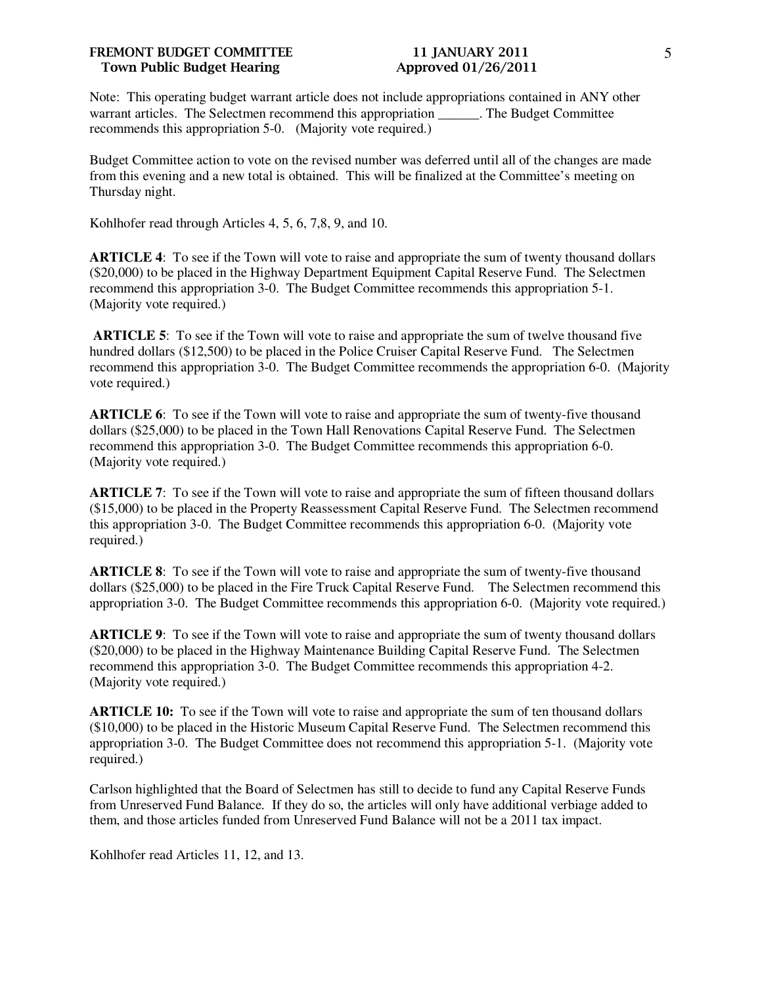Note: This operating budget warrant article does not include appropriations contained in ANY other warrant articles. The Selectmen recommend this appropriation The Budget Committee recommends this appropriation 5-0. (Majority vote required.)

Budget Committee action to vote on the revised number was deferred until all of the changes are made from this evening and a new total is obtained. This will be finalized at the Committee's meeting on Thursday night.

Kohlhofer read through Articles 4, 5, 6, 7,8, 9, and 10.

**ARTICLE 4**: To see if the Town will vote to raise and appropriate the sum of twenty thousand dollars (\$20,000) to be placed in the Highway Department Equipment Capital Reserve Fund. The Selectmen recommend this appropriation 3-0. The Budget Committee recommends this appropriation 5-1. (Majority vote required.)

**ARTICLE 5**: To see if the Town will vote to raise and appropriate the sum of twelve thousand five hundred dollars (\$12,500) to be placed in the Police Cruiser Capital Reserve Fund. The Selectmen recommend this appropriation 3-0. The Budget Committee recommends the appropriation 6-0. (Majority vote required.)

**ARTICLE 6**: To see if the Town will vote to raise and appropriate the sum of twenty-five thousand dollars (\$25,000) to be placed in the Town Hall Renovations Capital Reserve Fund. The Selectmen recommend this appropriation 3-0. The Budget Committee recommends this appropriation 6-0. (Majority vote required.)

**ARTICLE 7**: To see if the Town will vote to raise and appropriate the sum of fifteen thousand dollars (\$15,000) to be placed in the Property Reassessment Capital Reserve Fund. The Selectmen recommend this appropriation 3-0. The Budget Committee recommends this appropriation 6-0. (Majority vote required.)

**ARTICLE 8**: To see if the Town will vote to raise and appropriate the sum of twenty-five thousand dollars (\$25,000) to be placed in the Fire Truck Capital Reserve Fund. The Selectmen recommend this appropriation 3-0. The Budget Committee recommends this appropriation 6-0. (Majority vote required.)

**ARTICLE 9**: To see if the Town will vote to raise and appropriate the sum of twenty thousand dollars (\$20,000) to be placed in the Highway Maintenance Building Capital Reserve Fund. The Selectmen recommend this appropriation 3-0. The Budget Committee recommends this appropriation 4-2. (Majority vote required.)

**ARTICLE 10:** To see if the Town will vote to raise and appropriate the sum of ten thousand dollars (\$10,000) to be placed in the Historic Museum Capital Reserve Fund. The Selectmen recommend this appropriation 3-0. The Budget Committee does not recommend this appropriation 5-1. (Majority vote required.)

Carlson highlighted that the Board of Selectmen has still to decide to fund any Capital Reserve Funds from Unreserved Fund Balance. If they do so, the articles will only have additional verbiage added to them, and those articles funded from Unreserved Fund Balance will not be a 2011 tax impact.

Kohlhofer read Articles 11, 12, and 13.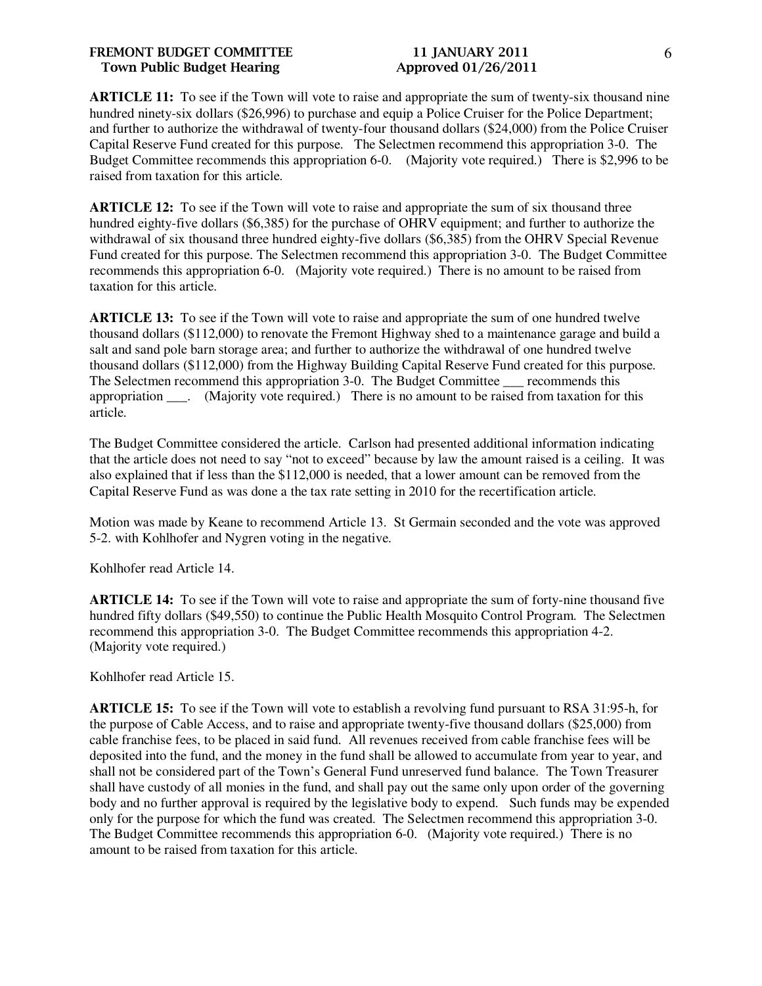**ARTICLE 11:** To see if the Town will vote to raise and appropriate the sum of twenty-six thousand nine hundred ninety-six dollars (\$26,996) to purchase and equip a Police Cruiser for the Police Department; and further to authorize the withdrawal of twenty-four thousand dollars (\$24,000) from the Police Cruiser Capital Reserve Fund created for this purpose. The Selectmen recommend this appropriation 3-0. The Budget Committee recommends this appropriation 6-0. (Majority vote required.) There is \$2,996 to be raised from taxation for this article.

**ARTICLE 12:** To see if the Town will vote to raise and appropriate the sum of six thousand three hundred eighty-five dollars (\$6,385) for the purchase of OHRV equipment; and further to authorize the withdrawal of six thousand three hundred eighty-five dollars (\$6,385) from the OHRV Special Revenue Fund created for this purpose. The Selectmen recommend this appropriation 3-0. The Budget Committee recommends this appropriation 6-0. (Majority vote required.) There is no amount to be raised from taxation for this article.

**ARTICLE 13:** To see if the Town will vote to raise and appropriate the sum of one hundred twelve thousand dollars (\$112,000) to renovate the Fremont Highway shed to a maintenance garage and build a salt and sand pole barn storage area; and further to authorize the withdrawal of one hundred twelve thousand dollars (\$112,000) from the Highway Building Capital Reserve Fund created for this purpose. The Selectmen recommend this appropriation 3-0. The Budget Committee recommends this appropriation \_\_\_. (Majority vote required.) There is no amount to be raised from taxation for this article.

The Budget Committee considered the article. Carlson had presented additional information indicating that the article does not need to say "not to exceed" because by law the amount raised is a ceiling. It was also explained that if less than the \$112,000 is needed, that a lower amount can be removed from the Capital Reserve Fund as was done a the tax rate setting in 2010 for the recertification article.

Motion was made by Keane to recommend Article 13. St Germain seconded and the vote was approved 5-2. with Kohlhofer and Nygren voting in the negative.

Kohlhofer read Article 14.

**ARTICLE 14:** To see if the Town will vote to raise and appropriate the sum of forty-nine thousand five hundred fifty dollars (\$49,550) to continue the Public Health Mosquito Control Program. The Selectmen recommend this appropriation 3-0. The Budget Committee recommends this appropriation 4-2. (Majority vote required.)

Kohlhofer read Article 15.

**ARTICLE 15:** To see if the Town will vote to establish a revolving fund pursuant to RSA 31:95-h, for the purpose of Cable Access, and to raise and appropriate twenty-five thousand dollars (\$25,000) from cable franchise fees, to be placed in said fund. All revenues received from cable franchise fees will be deposited into the fund, and the money in the fund shall be allowed to accumulate from year to year, and shall not be considered part of the Town's General Fund unreserved fund balance. The Town Treasurer shall have custody of all monies in the fund, and shall pay out the same only upon order of the governing body and no further approval is required by the legislative body to expend. Such funds may be expended only for the purpose for which the fund was created. The Selectmen recommend this appropriation 3-0. The Budget Committee recommends this appropriation 6-0. (Majority vote required.) There is no amount to be raised from taxation for this article.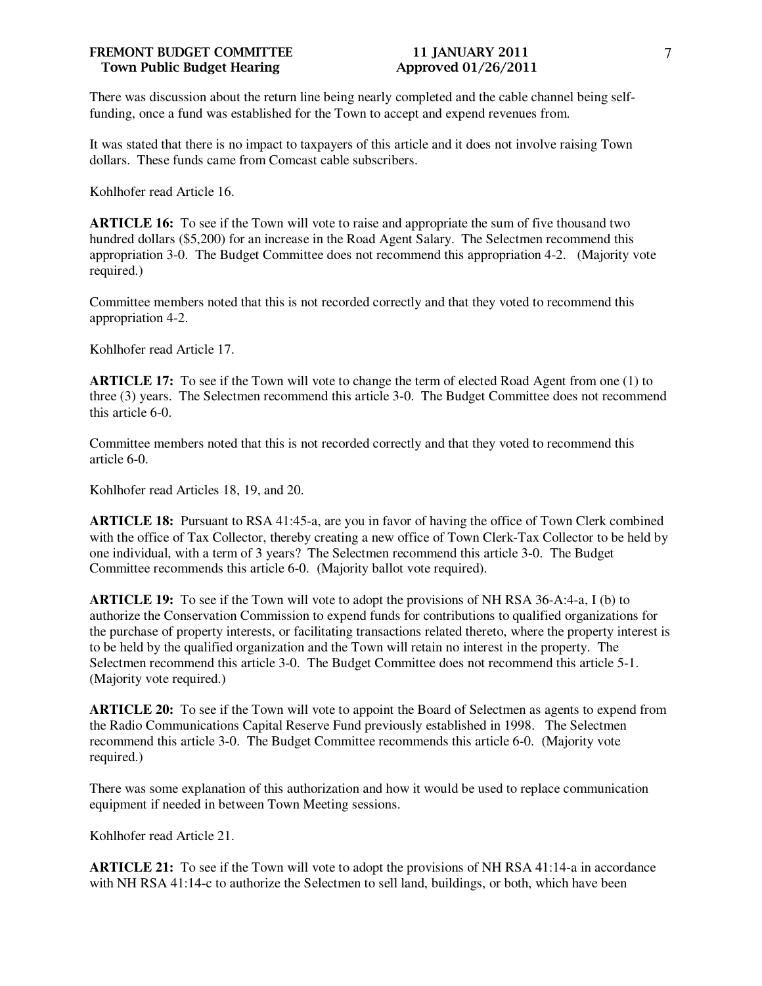There was discussion about the return line being nearly completed and the cable channel being selffunding, once a fund was established for the Town to accept and expend revenues from.

It was stated that there is no impact to taxpayers of this article and it does not involve raising Town dollars. These funds came from Comcast cable subscribers.

Kohlhofer read Article 16.

**ARTICLE 16:** To see if the Town will vote to raise and appropriate the sum of five thousand two hundred dollars (\$5,200) for an increase in the Road Agent Salary. The Selectmen recommend this appropriation 3-0. The Budget Committee does not recommend this appropriation 4-2. (Majority vote required.)

Committee members noted that this is not recorded correctly and that they voted to recommend this appropriation 4-2.

Kohlhofer read Article 17.

**ARTICLE 17:** To see if the Town will vote to change the term of elected Road Agent from one (1) to three (3) years. The Selectmen recommend this article 3-0. The Budget Committee does not recommend this article 6-0.

Committee members noted that this is not recorded correctly and that they voted to recommend this article 6-0.

Kohlhofer read Articles 18, 19, and 20.

**ARTICLE 18:** Pursuant to RSA 41:45-a, are you in favor of having the office of Town Clerk combined with the office of Tax Collector, thereby creating a new office of Town Clerk-Tax Collector to be held by one individual, with a term of 3 years? The Selectmen recommend this article 3-0. The Budget Committee recommends this article 6-0. (Majority ballot vote required).

**ARTICLE 19:** To see if the Town will vote to adopt the provisions of NH RSA 36-A:4-a, I (b) to authorize the Conservation Commission to expend funds for contributions to qualified organizations for the purchase of property interests, or facilitating transactions related thereto, where the property interest is to be held by the qualified organization and the Town will retain no interest in the property. The Selectmen recommend this article 3-0. The Budget Committee does not recommend this article 5-1. (Majority vote required.)

**ARTICLE 20:** To see if the Town will vote to appoint the Board of Selectmen as agents to expend from the Radio Communications Capital Reserve Fund previously established in 1998. The Selectmen recommend this article 3-0. The Budget Committee recommends this article 6-0. (Majority vote required.)

There was some explanation of this authorization and how it would be used to replace communication equipment if needed in between Town Meeting sessions.

Kohlhofer read Article 21.

**ARTICLE 21:** To see if the Town will vote to adopt the provisions of NH RSA 41:14-a in accordance with NH RSA 41:14-c to authorize the Selectmen to sell land, buildings, or both, which have been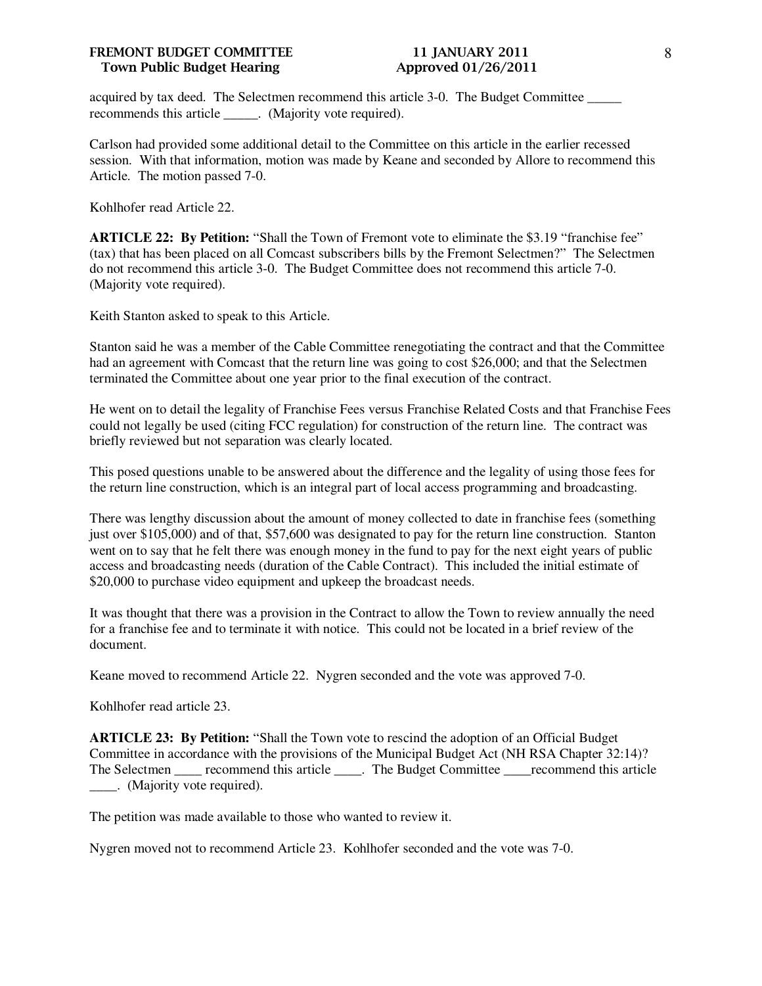acquired by tax deed. The Selectmen recommend this article 3-0. The Budget Committee recommends this article . (Majority vote required).

Carlson had provided some additional detail to the Committee on this article in the earlier recessed session. With that information, motion was made by Keane and seconded by Allore to recommend this Article. The motion passed 7-0.

Kohlhofer read Article 22.

**ARTICLE 22: By Petition:** "Shall the Town of Fremont vote to eliminate the \$3.19 "franchise fee" (tax) that has been placed on all Comcast subscribers bills by the Fremont Selectmen?" The Selectmen do not recommend this article 3-0. The Budget Committee does not recommend this article 7-0. (Majority vote required).

Keith Stanton asked to speak to this Article.

Stanton said he was a member of the Cable Committee renegotiating the contract and that the Committee had an agreement with Comcast that the return line was going to cost \$26,000; and that the Selectmen terminated the Committee about one year prior to the final execution of the contract.

He went on to detail the legality of Franchise Fees versus Franchise Related Costs and that Franchise Fees could not legally be used (citing FCC regulation) for construction of the return line. The contract was briefly reviewed but not separation was clearly located.

This posed questions unable to be answered about the difference and the legality of using those fees for the return line construction, which is an integral part of local access programming and broadcasting.

There was lengthy discussion about the amount of money collected to date in franchise fees (something just over \$105,000) and of that, \$57,600 was designated to pay for the return line construction. Stanton went on to say that he felt there was enough money in the fund to pay for the next eight years of public access and broadcasting needs (duration of the Cable Contract). This included the initial estimate of \$20,000 to purchase video equipment and upkeep the broadcast needs.

It was thought that there was a provision in the Contract to allow the Town to review annually the need for a franchise fee and to terminate it with notice. This could not be located in a brief review of the document.

Keane moved to recommend Article 22. Nygren seconded and the vote was approved 7-0.

Kohlhofer read article 23.

**ARTICLE 23: By Petition:** "Shall the Town vote to rescind the adoption of an Official Budget Committee in accordance with the provisions of the Municipal Budget Act (NH RSA Chapter 32:14)? The Selectmen \_\_\_\_\_ recommend this article \_\_\_\_\_. The Budget Committee \_\_\_\_\_ recommend this article \_\_\_\_. (Majority vote required).

The petition was made available to those who wanted to review it.

Nygren moved not to recommend Article 23. Kohlhofer seconded and the vote was 7-0.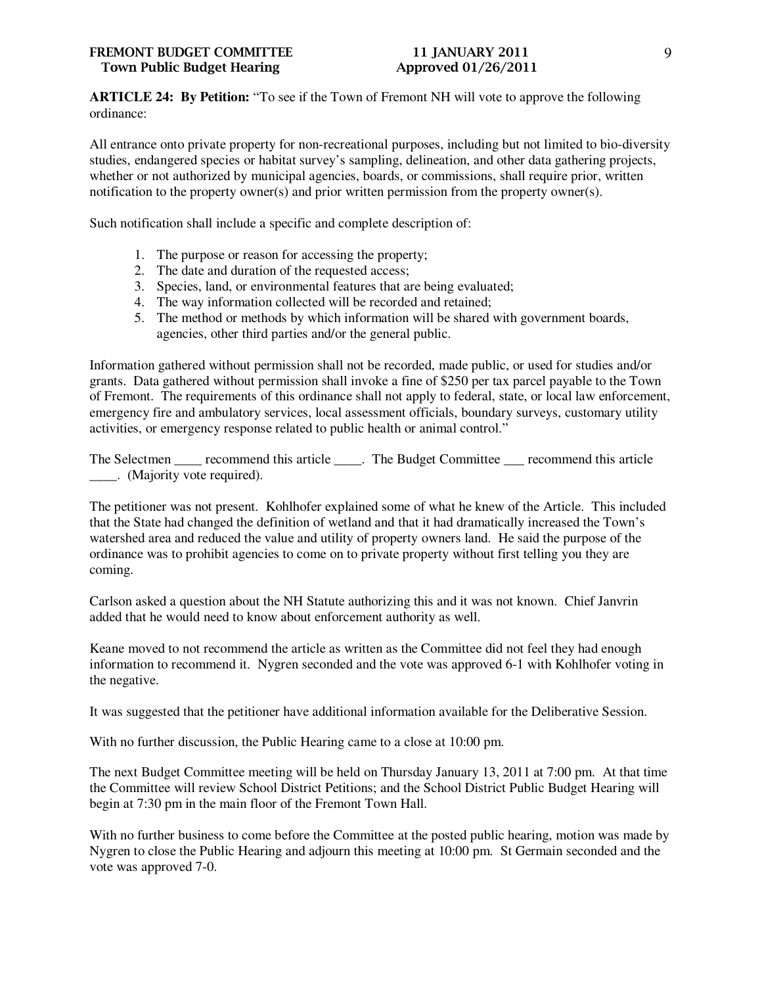**ARTICLE 24: By Petition:** "To see if the Town of Fremont NH will vote to approve the following ordinance:

All entrance onto private property for non-recreational purposes, including but not limited to bio-diversity studies, endangered species or habitat survey's sampling, delineation, and other data gathering projects, whether or not authorized by municipal agencies, boards, or commissions, shall require prior, written notification to the property owner(s) and prior written permission from the property owner(s).

Such notification shall include a specific and complete description of:

- 1. The purpose or reason for accessing the property;
- 2. The date and duration of the requested access;
- 3. Species, land, or environmental features that are being evaluated;
- 4. The way information collected will be recorded and retained;
- 5. The method or methods by which information will be shared with government boards, agencies, other third parties and/or the general public.

Information gathered without permission shall not be recorded, made public, or used for studies and/or grants. Data gathered without permission shall invoke a fine of \$250 per tax parcel payable to the Town of Fremont. The requirements of this ordinance shall not apply to federal, state, or local law enforcement, emergency fire and ambulatory services, local assessment officials, boundary surveys, customary utility activities, or emergency response related to public health or animal control."

The Selectmen recommend this article . The Budget Committee recommend this article \_\_\_\_. (Majority vote required).

The petitioner was not present. Kohlhofer explained some of what he knew of the Article. This included that the State had changed the definition of wetland and that it had dramatically increased the Town's watershed area and reduced the value and utility of property owners land. He said the purpose of the ordinance was to prohibit agencies to come on to private property without first telling you they are coming.

Carlson asked a question about the NH Statute authorizing this and it was not known. Chief Janvrin added that he would need to know about enforcement authority as well.

Keane moved to not recommend the article as written as the Committee did not feel they had enough information to recommend it. Nygren seconded and the vote was approved 6-1 with Kohlhofer voting in the negative.

It was suggested that the petitioner have additional information available for the Deliberative Session.

With no further discussion, the Public Hearing came to a close at 10:00 pm.

The next Budget Committee meeting will be held on Thursday January 13, 2011 at 7:00 pm. At that time the Committee will review School District Petitions; and the School District Public Budget Hearing will begin at 7:30 pm in the main floor of the Fremont Town Hall.

With no further business to come before the Committee at the posted public hearing, motion was made by Nygren to close the Public Hearing and adjourn this meeting at 10:00 pm. St Germain seconded and the vote was approved 7-0.